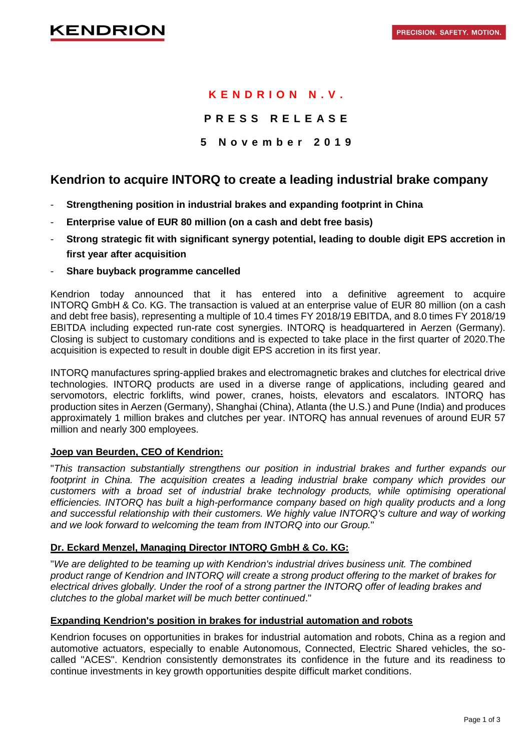# **K E N D R I O N N . V .**

# **P R E S S R E L E A S E**

## **5 N o v e m b e r 201 9**

# **Kendrion to acquire INTORQ to create a leading industrial brake company**

- **Strengthening position in industrial brakes and expanding footprint in China**
- **Enterprise value of EUR 80 million (on a cash and debt free basis)**
- **Strong strategic fit with significant synergy potential, leading to double digit EPS accretion in first year after acquisition**
- **Share buyback programme cancelled**

Kendrion today announced that it has entered into a definitive agreement to acquire INTORQ GmbH & Co. KG. The transaction is valued at an enterprise value of EUR 80 million (on a cash and debt free basis), representing a multiple of 10.4 times FY 2018/19 EBITDA, and 8.0 times FY 2018/19 EBITDA including expected run-rate cost synergies. INTORQ is headquartered in Aerzen (Germany). Closing is subject to customary conditions and is expected to take place in the first quarter of 2020.The acquisition is expected to result in double digit EPS accretion in its first year.

INTORQ manufactures spring-applied brakes and electromagnetic brakes and clutches for electrical drive technologies. INTORQ products are used in a diverse range of applications, including geared and servomotors, electric forklifts, wind power, cranes, hoists, elevators and escalators. INTORQ has production sites in Aerzen (Germany), Shanghai (China), Atlanta (the U.S.) and Pune (India) and produces approximately 1 million brakes and clutches per year. INTORQ has annual revenues of around EUR 57 million and nearly 300 employees.

### **Joep van Beurden, CEO of Kendrion:**

"*This transaction substantially strengthens our position in industrial brakes and further expands our footprint in China. The acquisition creates a leading industrial brake company which provides our customers with a broad set of industrial brake technology products, while optimising operational efficiencies. INTORQ has built a high-performance company based on high quality products and a long and successful relationship with their customers. We highly value INTORQ's culture and way of working and we look forward to welcoming the team from INTORQ into our Group.*"

#### **Dr. Eckard Menzel, Managing Director INTORQ GmbH & Co. KG:**

"*We are delighted to be teaming up with Kendrion's industrial drives business unit. The combined product range of Kendrion and INTORQ will create a strong product offering to the market of brakes for electrical drives globally. Under the roof of a strong partner the INTORQ offer of leading brakes and clutches to the global market will be much better continued*."

#### **Expanding Kendrion's position in brakes for industrial automation and robots**

Kendrion focuses on opportunities in brakes for industrial automation and robots, China as a region and automotive actuators, especially to enable Autonomous, Connected, Electric Shared vehicles, the socalled "ACES". Kendrion consistently demonstrates its confidence in the future and its readiness to continue investments in key growth opportunities despite difficult market conditions.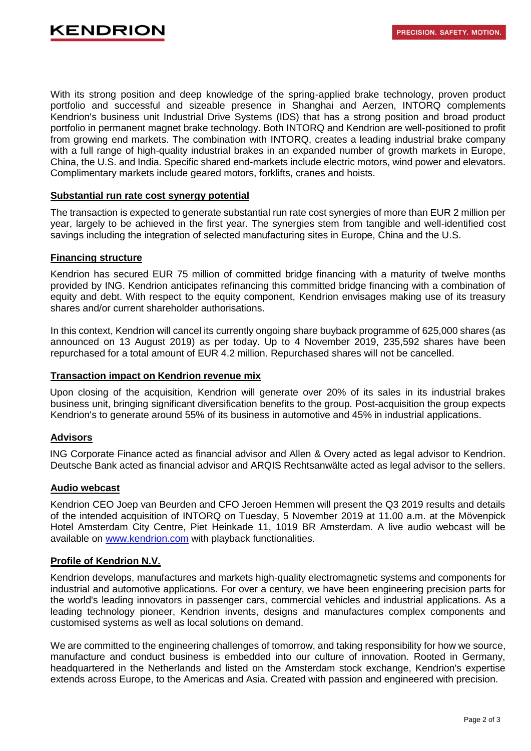With its strong position and deep knowledge of the spring-applied brake technology, proven product portfolio and successful and sizeable presence in Shanghai and Aerzen, INTORQ complements Kendrion's business unit Industrial Drive Systems (IDS) that has a strong position and broad product portfolio in permanent magnet brake technology. Both INTORQ and Kendrion are well-positioned to profit from growing end markets. The combination with INTORQ, creates a leading industrial brake company with a full range of high-quality industrial brakes in an expanded number of growth markets in Europe, China, the U.S. and India. Specific shared end-markets include electric motors, wind power and elevators. Complimentary markets include geared motors, forklifts, cranes and hoists.

#### **Substantial run rate cost synergy potential**

The transaction is expected to generate substantial run rate cost synergies of more than EUR 2 million per year, largely to be achieved in the first year. The synergies stem from tangible and well-identified cost savings including the integration of selected manufacturing sites in Europe, China and the U.S.

### **Financing structure**

Kendrion has secured EUR 75 million of committed bridge financing with a maturity of twelve months provided by ING. Kendrion anticipates refinancing this committed bridge financing with a combination of equity and debt. With respect to the equity component, Kendrion envisages making use of its treasury shares and/or current shareholder authorisations.

In this context, Kendrion will cancel its currently ongoing share buyback programme of 625,000 shares (as announced on 13 August 2019) as per today. Up to 4 November 2019, 235,592 shares have been repurchased for a total amount of EUR 4.2 million. Repurchased shares will not be cancelled.

### **Transaction impact on Kendrion revenue mix**

Upon closing of the acquisition, Kendrion will generate over 20% of its sales in its industrial brakes business unit, bringing significant diversification benefits to the group. Post-acquisition the group expects Kendrion's to generate around 55% of its business in automotive and 45% in industrial applications.

# **Advisors**

ING Corporate Finance acted as financial advisor and Allen & Overy acted as legal advisor to Kendrion. Deutsche Bank acted as financial advisor and ARQIS Rechtsanwälte acted as legal advisor to the sellers.

#### **Audio webcast**

Kendrion CEO Joep van Beurden and CFO Jeroen Hemmen will present the Q3 2019 results and details of the intended acquisition of INTORQ on Tuesday, 5 November 2019 at 11.00 a.m. at the Mövenpick Hotel Amsterdam City Centre, Piet Heinkade 11, 1019 BR Amsterdam. A live audio webcast will be available on [www.kendrion.com](https://channel.royalcast.com/webcast/kendrioninvestors/20191105_1/) with playback functionalities.

#### **Profile of Kendrion N.V.**

Kendrion develops, manufactures and markets high-quality electromagnetic systems and components for industrial and automotive applications. For over a century, we have been engineering precision parts for the world's leading innovators in passenger cars, commercial vehicles and industrial applications. As a leading technology pioneer, Kendrion invents, designs and manufactures complex components and customised systems as well as local solutions on demand.

We are committed to the engineering challenges of tomorrow, and taking responsibility for how we source, manufacture and conduct business is embedded into our culture of innovation. Rooted in Germany, headquartered in the Netherlands and listed on the Amsterdam stock exchange, Kendrion's expertise extends across Europe, to the Americas and Asia. Created with passion and engineered with precision.